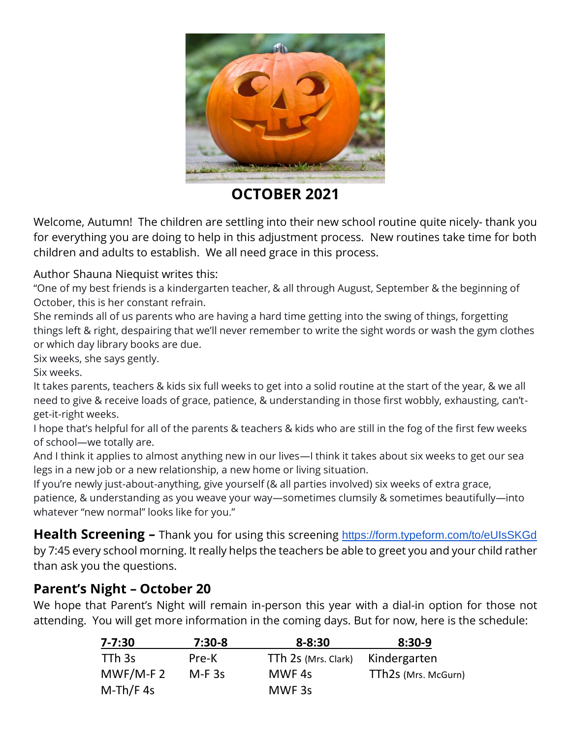

**OCTOBER 2021**

Welcome, Autumn! The children are settling into their new school routine quite nicely- thank you for everything you are doing to help in this adjustment process. New routines take time for both children and adults to establish. We all need grace in this process.

Author Shauna Niequist writes this:

"One of my best friends is a kindergarten teacher, & all through August, September & the beginning of October, this is her constant refrain.

She reminds all of us parents who are having a hard time getting into the swing of things, forgetting things left & right, despairing that we'll never remember to write the sight words or wash the gym clothes or which day library books are due.

Six weeks, she says gently.

Six weeks.

It takes parents, teachers & kids six full weeks to get into a solid routine at the start of the year, & we all need to give & receive loads of grace, patience, & understanding in those first wobbly, exhausting, can'tget-it-right weeks.

I hope that's helpful for all of the parents & teachers & kids who are still in the fog of the first few weeks of school—we totally are.

And I think it applies to almost anything new in our lives—I think it takes about six weeks to get our sea legs in a new job or a new relationship, a new home or living situation.

If you're newly just-about-anything, give yourself (& all parties involved) six weeks of extra grace,

patience, & understanding as you weave your way—sometimes clumsily & sometimes beautifully—into whatever "new normal" looks like for you."

**Health Screening –** Thank you for using this screening https://form.typeform.com/to/eUIsSKGd by 7:45 every school morning. It really helps the teachers be able to greet you and your child rather than ask you the questions.

# **Parent's Night – October 20**

We hope that Parent's Night will remain in-person this year with a dial-in option for those not attending. You will get more information in the coming days. But for now, here is the schedule:

| 7-7:30      | $7:30-8$ | $8 - 8:30$          | $8:30-9$            |
|-------------|----------|---------------------|---------------------|
| TTh 3s      | Pre-K    | TTh 2s (Mrs. Clark) | Kindergarten        |
| $MWF/M-F2$  | $M-F$ 3s | MWF 4s              | TTh2s (Mrs. McGurn) |
| $M-Th/F 4s$ |          | MWF <sub>3s</sub>   |                     |